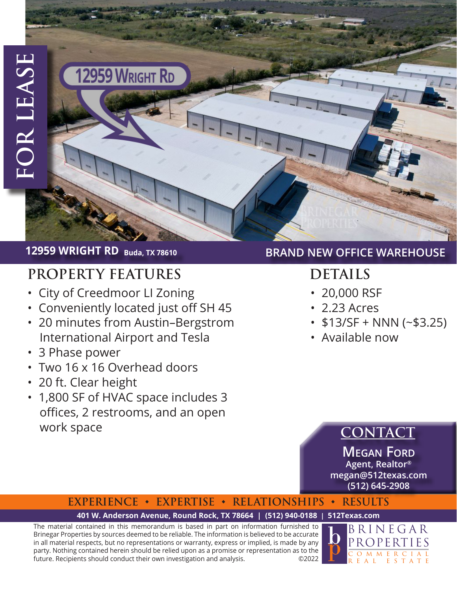# **12959 WRIGHT RD Buda, TX 78610**

# **PROPERTY FEATURES DETAILS**

- City of Creedmoor LI Zoning
- • Conveniently located just off SH 45

12959 WRIGHT RD

- • 20 minutes from Austin–Bergstrom International Airport and Tesla
- • 3 Phase power
- • Two 16 x 16 Overhead doors
- • 20 ft. Clear height
- 1,800 SF of HVAC space includes 3 offices, 2 restrooms, and an open work space

## **BRAND NEW OFFICE WAREHOUSE**

- • 20,000 RSF
- • 2.23 Acres
- $\cdot$  \$13/SF + NNN (~\$3.25)
- • Available now

# **CONTACT**

**Megan Ford Agent, Realtor® megan@512texas.com (512) 645-2908**

## **EXPERIENCE ◆ EXPERTISE ◆ RELATIONSHIPS ◆ RESULTS**

### **[401 W. Anderson Avenue, Round Rock, TX 78664 | \(512\) 940-0188 | 512Texas.com](http://512texas.com)**

The material contained in this memorandum is based in part on information furnished to Brinegar Properties by sources deemed to be reliable. The information is believed to be accurate in all material respects, but no representations or warranty, express or implied, is made by any party. Nothing contained herein should be relied upon as a promise or representation as to the future. Recipients should conduct their own investigation and analysis. ©2022

BRINEGAR PROPERTIES O M M E R C REAL ESTATE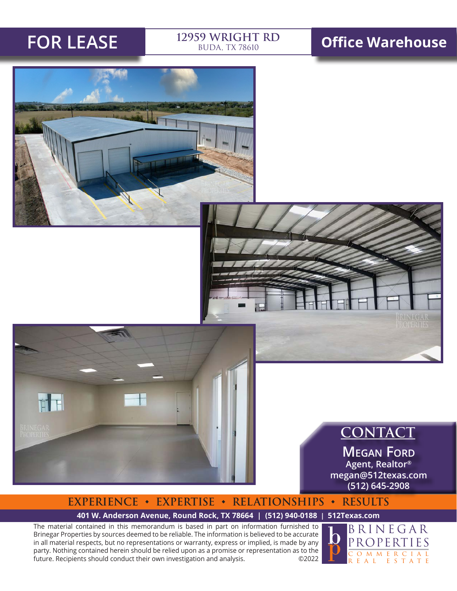**TH** 

# BUDA, TX 78610

# **FOR LEASE 12959 WRIGHT RD Office Warehouse**





**Megan Ford Agent, Realtor® megan@512texas.com (512) 645-2908**

# **EXPERIENCE ◆ EXPERTISE ◆ RELATIONSHIPS ◆ RESULTS**

### **[401 W. Anderson Avenue, Round Rock, TX 78664 | \(512\) 940-0188 | 512Texas.com](http://512texas.com)**

The material contained in this memorandum is based in part on information furnished to Brinegar Properties by sources deemed to be reliable. The information is believed to be accurate in all material respects, but no representations or warranty, express or implied, is made by any party. Nothing contained herein should be relied upon as a promise or representation as to the future. Recipients should conduct their own investigation and analysis. ©2022

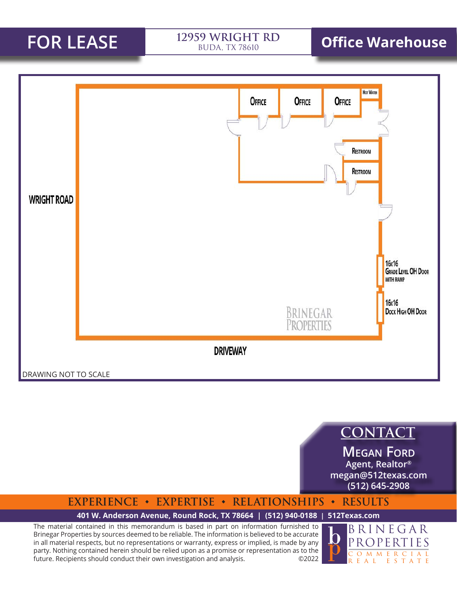BUDA, TX 78610

# **FOR LEASE 12959 WRIGHT RD Office Warehouse**



**CONTACT**

**Megan Ford Agent, Realtor® megan@512texas.com (512) 645-2908**

## **EXPERIENCE ◆ EXPERTISE ◆ RELATIONSHIPS ◆ RESULTS**

### **[401 W. Anderson Avenue, Round Rock, TX 78664 | \(512\) 940-0188 | 512Texas.com](http://512texas.com)**

The material contained in this memorandum is based in part on information furnished to Brinegar Properties by sources deemed to be reliable. The information is believed to be accurate in all material respects, but no representations or warranty, express or implied, is made by any party. Nothing contained herein should be relied upon as a promise or representation as to the future. Recipients should conduct their own investigation and analysis. ©2022

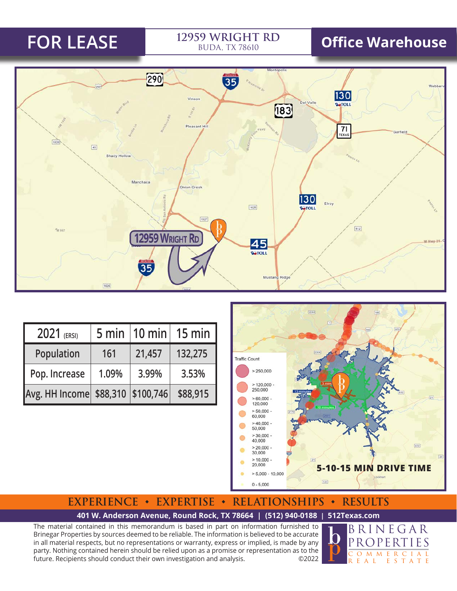# BUDA, TX 78610

# **FOR LEASE 12959 WRIGHT RD Office Warehouse**



| $2021$ (ERSI)                     | 5 min |        | $\vert$ 10 min $\vert$ 15 min $\vert$ |
|-----------------------------------|-------|--------|---------------------------------------|
| Population                        | 161   | 21,457 | 132,275                               |
| Pop. Increase                     | 1.09% | 3.99%  | 3.53%                                 |
| Avg. HH Income \$88,310 \$100,746 |       |        | \$88,915                              |



## **EXPERIENCE ◆ EXPERTISE ◆ RELATIONSHIPS ◆ RESULTS**

### **[401 W. Anderson Avenue, Round Rock, TX 78664 | \(512\) 940-0188 | 512Texas.com](http://512texas.com)**

The material contained in this memorandum is based in part on information furnished to Brinegar Properties by sources deemed to be reliable. The information is believed to be accurate in all material respects, but no representations or warranty, express or implied, is made by any party. Nothing contained herein should be relied upon as a promise or representation as to the future. Recipients should conduct their own investigation and analysis. ©2022